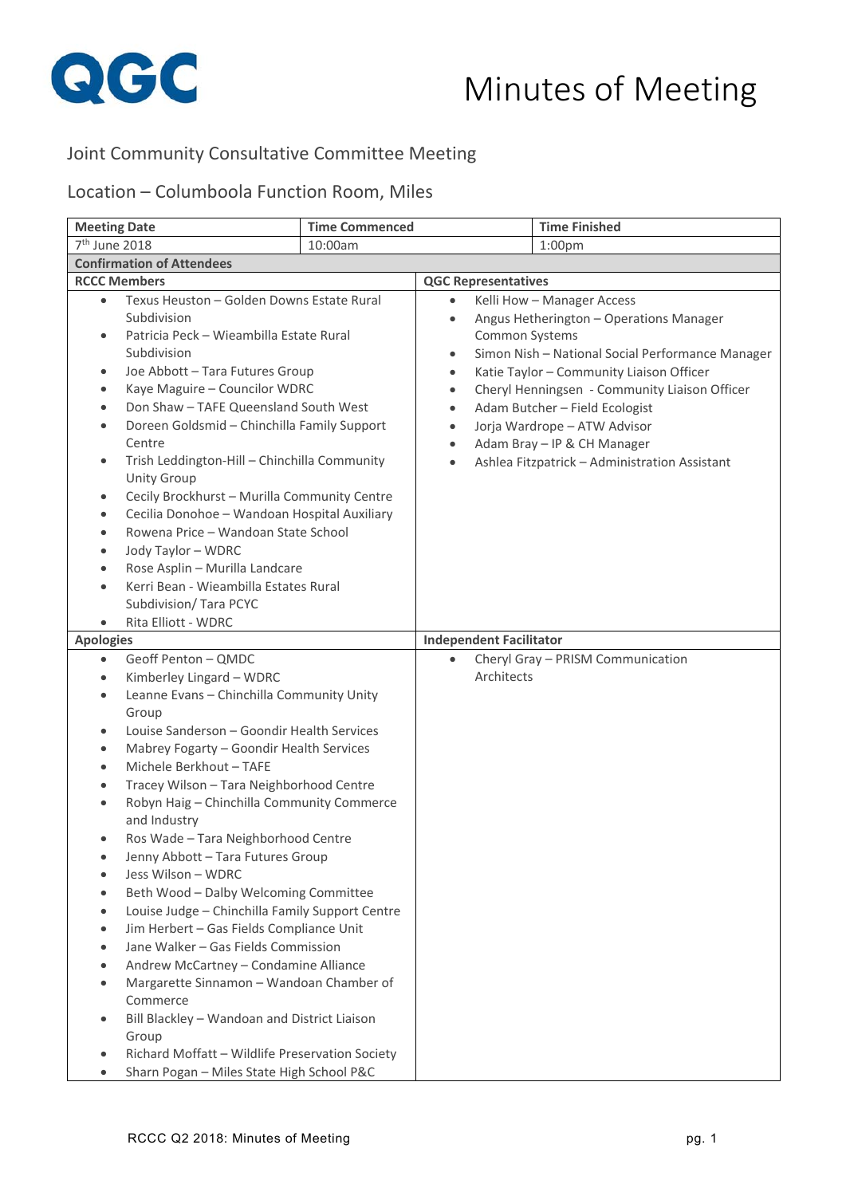

## Minutes of Meeting

## Joint Community Consultative Committee Meeting

## Location – Columboola Function Room, Miles

| <b>Meeting Date</b>                                                                                                                                                                                                                                                                                                                                                                                                                                                                                                                                                                                                                                                                                                                                                                                                                                                                                                                                             | <b>Time Commenced</b> |                                                                                                                   |                | <b>Time Finished</b>                                                                                                                                                                                                                                                                                                                                                     |
|-----------------------------------------------------------------------------------------------------------------------------------------------------------------------------------------------------------------------------------------------------------------------------------------------------------------------------------------------------------------------------------------------------------------------------------------------------------------------------------------------------------------------------------------------------------------------------------------------------------------------------------------------------------------------------------------------------------------------------------------------------------------------------------------------------------------------------------------------------------------------------------------------------------------------------------------------------------------|-----------------------|-------------------------------------------------------------------------------------------------------------------|----------------|--------------------------------------------------------------------------------------------------------------------------------------------------------------------------------------------------------------------------------------------------------------------------------------------------------------------------------------------------------------------------|
| 7 <sup>th</sup> June 2018                                                                                                                                                                                                                                                                                                                                                                                                                                                                                                                                                                                                                                                                                                                                                                                                                                                                                                                                       | 10:00am               |                                                                                                                   |                | 1:00 <sub>pm</sub>                                                                                                                                                                                                                                                                                                                                                       |
| <b>Confirmation of Attendees</b>                                                                                                                                                                                                                                                                                                                                                                                                                                                                                                                                                                                                                                                                                                                                                                                                                                                                                                                                |                       |                                                                                                                   |                |                                                                                                                                                                                                                                                                                                                                                                          |
| <b>RCCC Members</b>                                                                                                                                                                                                                                                                                                                                                                                                                                                                                                                                                                                                                                                                                                                                                                                                                                                                                                                                             |                       | <b>QGC Representatives</b>                                                                                        |                |                                                                                                                                                                                                                                                                                                                                                                          |
| Texus Heuston - Golden Downs Estate Rural<br>$\bullet$<br>Subdivision<br>Patricia Peck - Wieambilla Estate Rural<br>$\bullet$<br>Subdivision<br>Joe Abbott - Tara Futures Group<br>$\bullet$<br>Kaye Maguire - Councilor WDRC<br>$\bullet$<br>Don Shaw - TAFE Queensland South West<br>Doreen Goldsmid - Chinchilla Family Support<br>$\bullet$<br>Centre<br>Trish Leddington-Hill - Chinchilla Community<br>$\bullet$<br><b>Unity Group</b><br>Cecily Brockhurst - Murilla Community Centre<br>٠<br>Cecilia Donohoe - Wandoan Hospital Auxiliary<br>$\bullet$<br>Rowena Price - Wandoan State School<br>Jody Taylor - WDRC<br>$\bullet$<br>Rose Asplin - Murilla Landcare<br>Kerri Bean - Wieambilla Estates Rural<br>$\bullet$<br>Subdivision/ Tara PCYC                                                                                                                                                                                                      |                       | $\bullet$<br>$\bullet$<br>$\bullet$<br>$\bullet$<br>$\bullet$<br>$\bullet$<br>$\bullet$<br>$\bullet$<br>$\bullet$ | Common Systems | Kelli How - Manager Access<br>Angus Hetherington - Operations Manager<br>Simon Nish - National Social Performance Manager<br>Katie Taylor - Community Liaison Officer<br>Cheryl Henningsen - Community Liaison Officer<br>Adam Butcher - Field Ecologist<br>Jorja Wardrope - ATW Advisor<br>Adam Bray - IP & CH Manager<br>Ashlea Fitzpatrick - Administration Assistant |
| Rita Elliott - WDRC                                                                                                                                                                                                                                                                                                                                                                                                                                                                                                                                                                                                                                                                                                                                                                                                                                                                                                                                             |                       |                                                                                                                   |                |                                                                                                                                                                                                                                                                                                                                                                          |
| <b>Apologies</b>                                                                                                                                                                                                                                                                                                                                                                                                                                                                                                                                                                                                                                                                                                                                                                                                                                                                                                                                                |                       | <b>Independent Facilitator</b>                                                                                    |                |                                                                                                                                                                                                                                                                                                                                                                          |
| Geoff Penton - QMDC<br>$\bullet$<br>Kimberley Lingard - WDRC<br>٠<br>Leanne Evans - Chinchilla Community Unity<br>$\bullet$<br>Group<br>Louise Sanderson - Goondir Health Services<br>$\bullet$<br>Mabrey Fogarty - Goondir Health Services<br>$\bullet$<br>Michele Berkhout - TAFE<br>٠<br>Tracey Wilson - Tara Neighborhood Centre<br>٠<br>Robyn Haig - Chinchilla Community Commerce<br>and Industry<br>Ros Wade - Tara Neighborhood Centre<br>$\bullet$<br>Jenny Abbott - Tara Futures Group<br>Jess Wilson - WDRC<br>Beth Wood - Dalby Welcoming Committee<br>Louise Judge - Chinchilla Family Support Centre<br>Jim Herbert - Gas Fields Compliance Unit<br>Jane Walker - Gas Fields Commission<br>Andrew McCartney - Condamine Alliance<br>Margarette Sinnamon - Wandoan Chamber of<br>Commerce<br>Bill Blackley - Wandoan and District Liaison<br>Group<br>Richard Moffatt - Wildlife Preservation Society<br>Sharn Pogan - Miles State High School P&C |                       |                                                                                                                   | Architects     | Cheryl Gray - PRISM Communication                                                                                                                                                                                                                                                                                                                                        |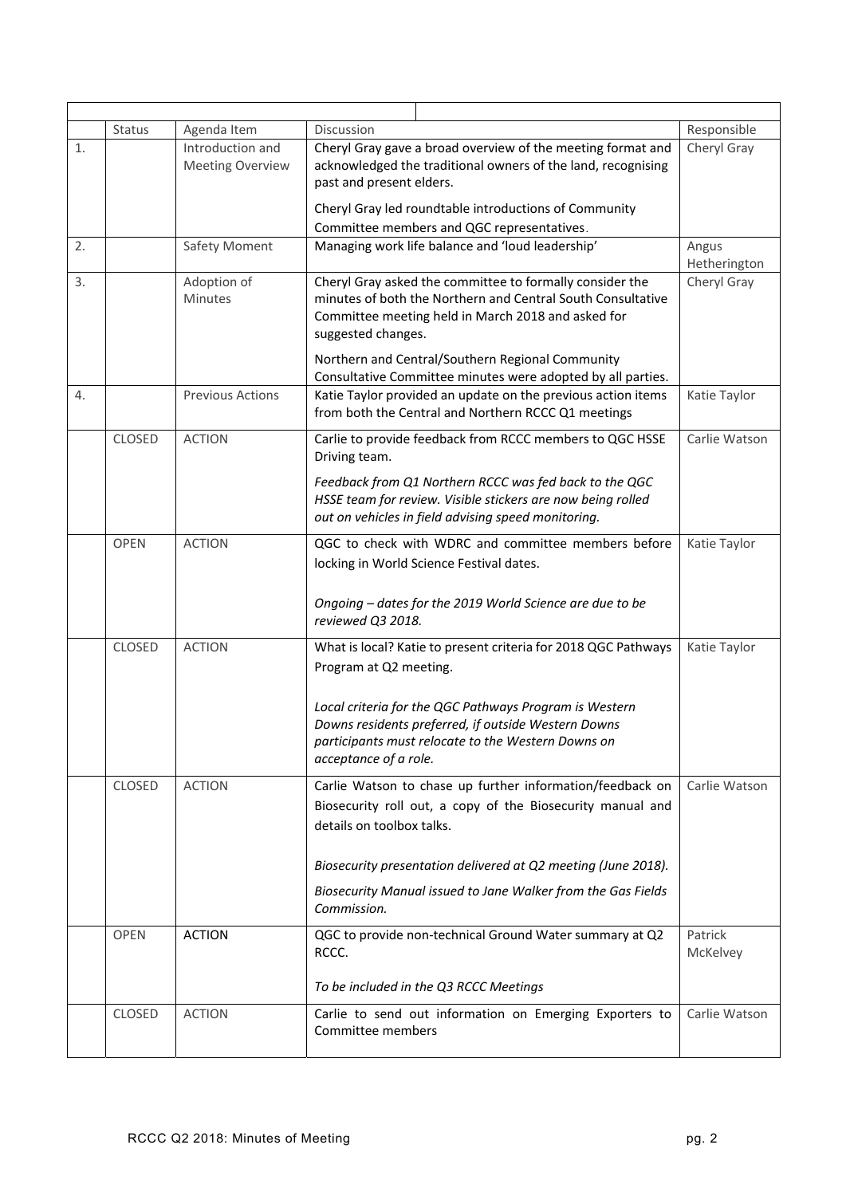|    | Status        | Agenda Item             | Discussion                                                                                                          | Responsible           |
|----|---------------|-------------------------|---------------------------------------------------------------------------------------------------------------------|-----------------------|
| 1. |               | Introduction and        | Cheryl Gray gave a broad overview of the meeting format and                                                         | Cheryl Gray           |
|    |               | <b>Meeting Overview</b> | acknowledged the traditional owners of the land, recognising<br>past and present elders.                            |                       |
|    |               |                         | Cheryl Gray led roundtable introductions of Community                                                               |                       |
|    |               |                         | Committee members and QGC representatives.                                                                          |                       |
| 2. |               | Safety Moment           | Managing work life balance and 'loud leadership'                                                                    | Angus<br>Hetherington |
| 3. |               | Adoption of             | Cheryl Gray asked the committee to formally consider the                                                            | Cheryl Gray           |
|    |               | <b>Minutes</b>          | minutes of both the Northern and Central South Consultative                                                         |                       |
|    |               |                         | Committee meeting held in March 2018 and asked for<br>suggested changes.                                            |                       |
|    |               |                         | Northern and Central/Southern Regional Community                                                                    |                       |
|    |               |                         | Consultative Committee minutes were adopted by all parties.                                                         |                       |
| 4. |               | <b>Previous Actions</b> | Katie Taylor provided an update on the previous action items<br>from both the Central and Northern RCCC Q1 meetings | Katie Taylor          |
|    | CLOSED        | <b>ACTION</b>           | Carlie to provide feedback from RCCC members to QGC HSSE<br>Driving team.                                           | Carlie Watson         |
|    |               |                         | Feedback from Q1 Northern RCCC was fed back to the QGC                                                              |                       |
|    |               |                         | HSSE team for review. Visible stickers are now being rolled                                                         |                       |
|    |               |                         | out on vehicles in field advising speed monitoring.                                                                 |                       |
|    | <b>OPEN</b>   | <b>ACTION</b>           | QGC to check with WDRC and committee members before                                                                 | Katie Taylor          |
|    |               |                         | locking in World Science Festival dates.                                                                            |                       |
|    |               |                         |                                                                                                                     |                       |
|    |               |                         | Ongoing - dates for the 2019 World Science are due to be<br>reviewed Q3 2018.                                       |                       |
|    | <b>CLOSED</b> | <b>ACTION</b>           | What is local? Katie to present criteria for 2018 QGC Pathways                                                      | Katie Taylor          |
|    |               |                         | Program at Q2 meeting.                                                                                              |                       |
|    |               |                         |                                                                                                                     |                       |
|    |               |                         | Local criteria for the QGC Pathways Program is Western                                                              |                       |
|    |               |                         | Downs residents preferred, if outside Western Downs<br>participants must relocate to the Western Downs on           |                       |
|    |               |                         | acceptance of a role.                                                                                               |                       |
|    | CLOSED        | <b>ACTION</b>           | Carlie Watson to chase up further information/feedback on                                                           | Carlie Watson         |
|    |               |                         | Biosecurity roll out, a copy of the Biosecurity manual and                                                          |                       |
|    |               |                         | details on toolbox talks.                                                                                           |                       |
|    |               |                         |                                                                                                                     |                       |
|    |               |                         | Biosecurity presentation delivered at Q2 meeting (June 2018).                                                       |                       |
|    |               |                         | Biosecurity Manual issued to Jane Walker from the Gas Fields<br>Commission.                                         |                       |
|    | <b>OPEN</b>   | <b>ACTION</b>           | QGC to provide non-technical Ground Water summary at Q2<br>RCCC.                                                    | Patrick<br>McKelvey   |
|    |               |                         | To be included in the Q3 RCCC Meetings                                                                              |                       |
|    | <b>CLOSED</b> | <b>ACTION</b>           | Carlie to send out information on Emerging Exporters to                                                             | Carlie Watson         |
|    |               |                         | Committee members                                                                                                   |                       |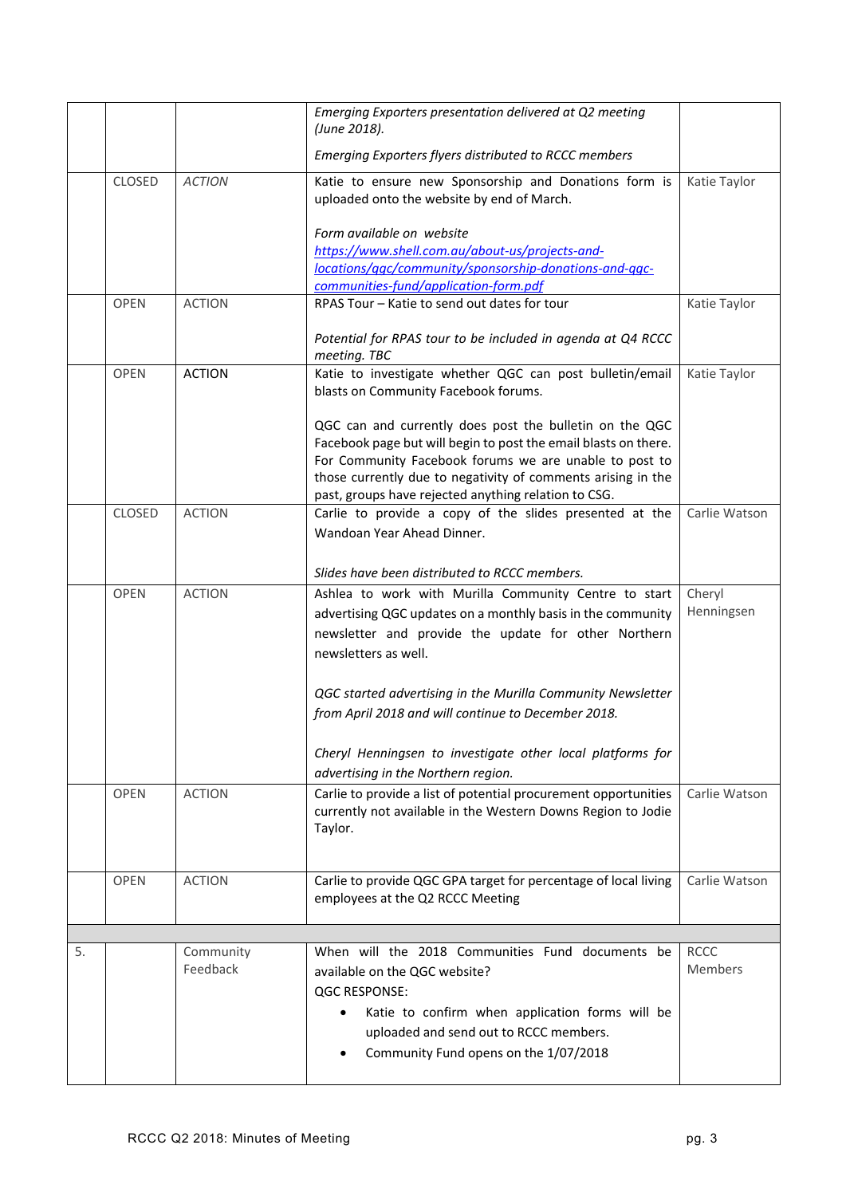|    |               |                       | Emerging Exporters presentation delivered at Q2 meeting<br>(June 2018).                                                                                                                                                                                                                                      |                               |
|----|---------------|-----------------------|--------------------------------------------------------------------------------------------------------------------------------------------------------------------------------------------------------------------------------------------------------------------------------------------------------------|-------------------------------|
|    |               |                       | Emerging Exporters flyers distributed to RCCC members                                                                                                                                                                                                                                                        |                               |
|    | <b>CLOSED</b> | <b>ACTION</b>         | Katie to ensure new Sponsorship and Donations form is<br>uploaded onto the website by end of March.                                                                                                                                                                                                          | Katie Taylor                  |
|    |               |                       | Form available on website<br>https://www.shell.com.au/about-us/projects-and-<br>locations/qgc/community/sponsorship-donations-and-qgc-                                                                                                                                                                       |                               |
|    |               |                       | communities-fund/application-form.pdf                                                                                                                                                                                                                                                                        |                               |
|    | <b>OPEN</b>   | <b>ACTION</b>         | RPAS Tour - Katie to send out dates for tour                                                                                                                                                                                                                                                                 | Katie Taylor                  |
|    |               |                       | Potential for RPAS tour to be included in agenda at Q4 RCCC<br>meeting. TBC                                                                                                                                                                                                                                  |                               |
|    | <b>OPEN</b>   | <b>ACTION</b>         | Katie to investigate whether QGC can post bulletin/email<br>blasts on Community Facebook forums.                                                                                                                                                                                                             | Katie Taylor                  |
|    |               |                       | QGC can and currently does post the bulletin on the QGC<br>Facebook page but will begin to post the email blasts on there.<br>For Community Facebook forums we are unable to post to<br>those currently due to negativity of comments arising in the<br>past, groups have rejected anything relation to CSG. |                               |
|    | <b>CLOSED</b> | <b>ACTION</b>         | Carlie to provide a copy of the slides presented at the<br>Wandoan Year Ahead Dinner.                                                                                                                                                                                                                        | Carlie Watson                 |
|    |               |                       | Slides have been distributed to RCCC members.                                                                                                                                                                                                                                                                |                               |
|    | <b>OPEN</b>   | <b>ACTION</b>         | Ashlea to work with Murilla Community Centre to start<br>advertising QGC updates on a monthly basis in the community<br>newsletter and provide the update for other Northern<br>newsletters as well.                                                                                                         | Cheryl<br>Henningsen          |
|    |               |                       | QGC started advertising in the Murilla Community Newsletter<br>from April 2018 and will continue to December 2018.                                                                                                                                                                                           |                               |
|    |               |                       | Cheryl Henningsen to investigate other local platforms for<br>advertising in the Northern region.                                                                                                                                                                                                            |                               |
|    | <b>OPEN</b>   | <b>ACTION</b>         | Carlie to provide a list of potential procurement opportunities<br>currently not available in the Western Downs Region to Jodie<br>Taylor.                                                                                                                                                                   | Carlie Watson                 |
|    | <b>OPEN</b>   | <b>ACTION</b>         | Carlie to provide QGC GPA target for percentage of local living<br>employees at the Q2 RCCC Meeting                                                                                                                                                                                                          | Carlie Watson                 |
|    |               |                       |                                                                                                                                                                                                                                                                                                              |                               |
| 5. |               | Community<br>Feedback | When will the 2018 Communities Fund documents be<br>available on the QGC website?<br><b>QGC RESPONSE:</b><br>Katie to confirm when application forms will be<br>uploaded and send out to RCCC members.<br>Community Fund opens on the 1/07/2018                                                              | <b>RCCC</b><br><b>Members</b> |
|    |               |                       |                                                                                                                                                                                                                                                                                                              |                               |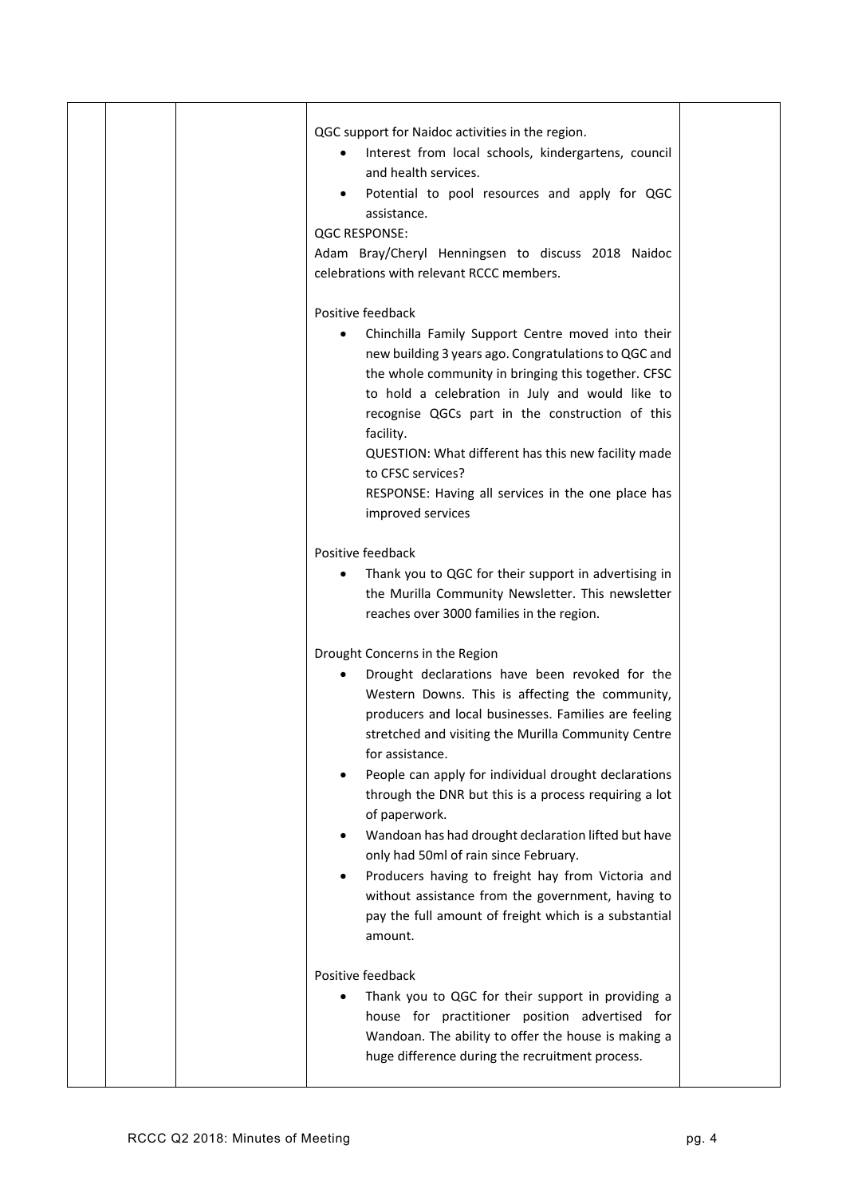|  | QGC support for Naidoc activities in the region.<br>Interest from local schools, kindergartens, council<br>and health services.<br>Potential to pool resources and apply for QGC<br>assistance.<br><b>QGC RESPONSE:</b><br>Adam Bray/Cheryl Henningsen to discuss 2018 Naidoc<br>celebrations with relevant RCCC members.                                                                                                                                                                                                                                                                                                                                                                                                                                                                                                                                                         |  |
|--|-----------------------------------------------------------------------------------------------------------------------------------------------------------------------------------------------------------------------------------------------------------------------------------------------------------------------------------------------------------------------------------------------------------------------------------------------------------------------------------------------------------------------------------------------------------------------------------------------------------------------------------------------------------------------------------------------------------------------------------------------------------------------------------------------------------------------------------------------------------------------------------|--|
|  | Positive feedback<br>Chinchilla Family Support Centre moved into their<br>new building 3 years ago. Congratulations to QGC and<br>the whole community in bringing this together. CFSC<br>to hold a celebration in July and would like to<br>recognise QGCs part in the construction of this<br>facility.<br>QUESTION: What different has this new facility made<br>to CFSC services?<br>RESPONSE: Having all services in the one place has<br>improved services                                                                                                                                                                                                                                                                                                                                                                                                                   |  |
|  | Positive feedback<br>Thank you to QGC for their support in advertising in<br>$\bullet$<br>the Murilla Community Newsletter. This newsletter<br>reaches over 3000 families in the region.<br>Drought Concerns in the Region<br>Drought declarations have been revoked for the<br>Western Downs. This is affecting the community,<br>producers and local businesses. Families are feeling<br>stretched and visiting the Murilla Community Centre<br>for assistance.<br>People can apply for individual drought declarations<br>through the DNR but this is a process requiring a lot<br>of paperwork.<br>Wandoan has had drought declaration lifted but have<br>only had 50ml of rain since February.<br>Producers having to freight hay from Victoria and<br>without assistance from the government, having to<br>pay the full amount of freight which is a substantial<br>amount. |  |
|  | Positive feedback<br>Thank you to QGC for their support in providing a<br>house for practitioner position advertised for<br>Wandoan. The ability to offer the house is making a<br>huge difference during the recruitment process.                                                                                                                                                                                                                                                                                                                                                                                                                                                                                                                                                                                                                                                |  |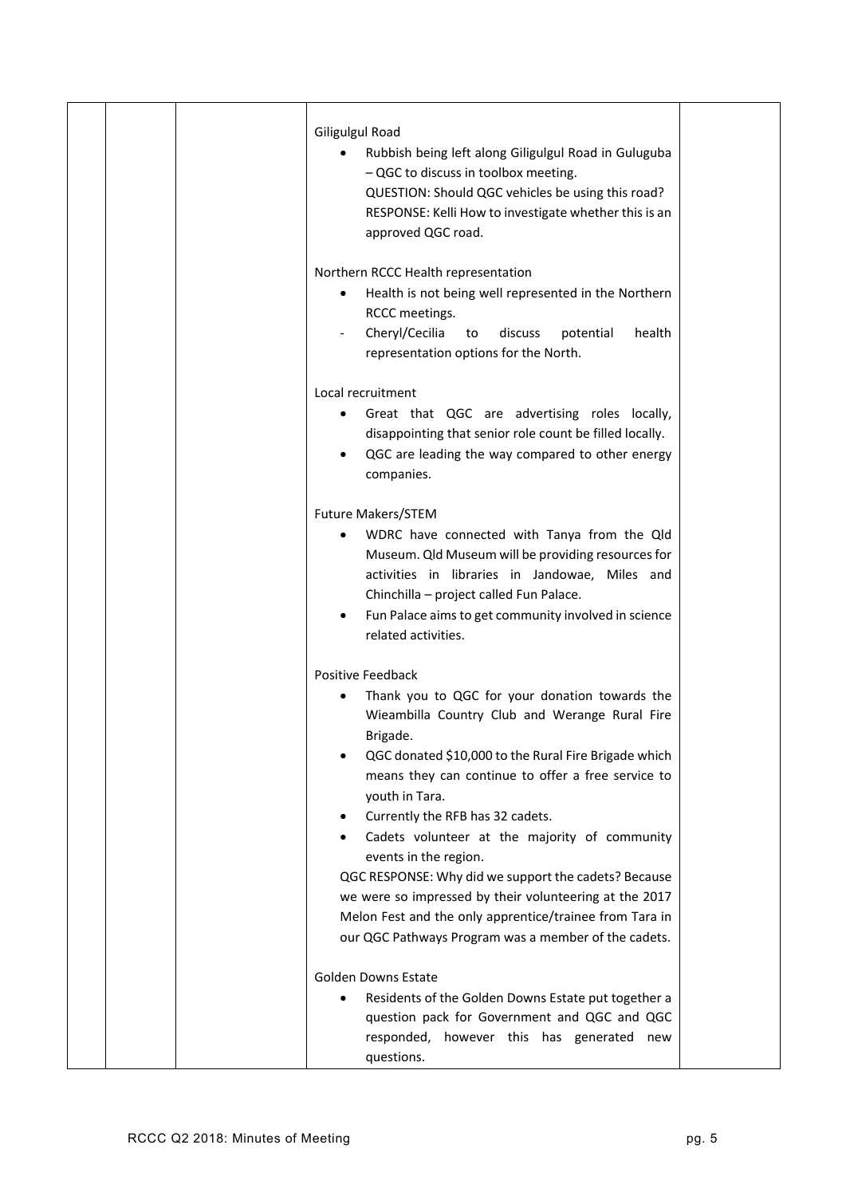| <b>Giligulgul Road</b><br>Rubbish being left along Giligulgul Road in Guluguba<br>- QGC to discuss in toolbox meeting.<br>QUESTION: Should QGC vehicles be using this road?<br>RESPONSE: Kelli How to investigate whether this is an<br>approved QGC road.<br>Northern RCCC Health representation<br>Health is not being well represented in the Northern<br>RCCC meetings.<br>Cheryl/Cecilia<br>health<br>discuss<br>potential<br>to<br>representation options for the North.                                                                                                                                                   |
|----------------------------------------------------------------------------------------------------------------------------------------------------------------------------------------------------------------------------------------------------------------------------------------------------------------------------------------------------------------------------------------------------------------------------------------------------------------------------------------------------------------------------------------------------------------------------------------------------------------------------------|
| Local recruitment<br>Great that QGC are advertising roles locally,<br>disappointing that senior role count be filled locally.<br>QGC are leading the way compared to other energy<br>companies.                                                                                                                                                                                                                                                                                                                                                                                                                                  |
| <b>Future Makers/STEM</b><br>WDRC have connected with Tanya from the Qld<br>Museum. Qld Museum will be providing resources for<br>activities in libraries in Jandowae, Miles and<br>Chinchilla - project called Fun Palace.<br>Fun Palace aims to get community involved in science<br>related activities.                                                                                                                                                                                                                                                                                                                       |
| <b>Positive Feedback</b><br>Thank you to QGC for your donation towards the<br>Wieambilla Country Club and Werange Rural Fire<br>Brigade.<br>QGC donated \$10,000 to the Rural Fire Brigade which<br>means they can continue to offer a free service to<br>youth in Tara.<br>Currently the RFB has 32 cadets.<br>٠<br>Cadets volunteer at the majority of community<br>events in the region.<br>QGC RESPONSE: Why did we support the cadets? Because<br>we were so impressed by their volunteering at the 2017<br>Melon Fest and the only apprentice/trainee from Tara in<br>our QGC Pathways Program was a member of the cadets. |
| <b>Golden Downs Estate</b><br>Residents of the Golden Downs Estate put together a<br>question pack for Government and QGC and QGC<br>responded, however this has generated new<br>questions.                                                                                                                                                                                                                                                                                                                                                                                                                                     |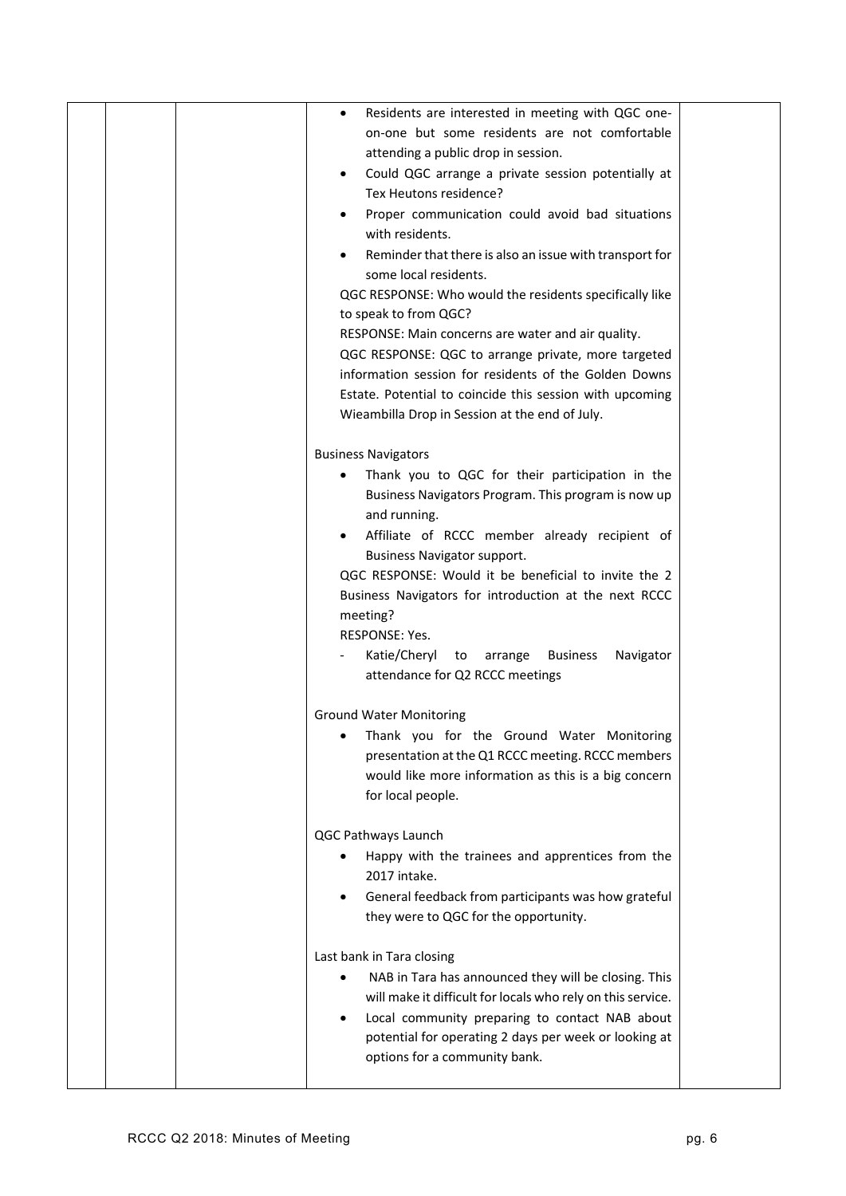|  | Residents are interested in meeting with QGC one-<br>$\bullet$                                         |  |
|--|--------------------------------------------------------------------------------------------------------|--|
|  | on-one but some residents are not comfortable                                                          |  |
|  | attending a public drop in session.                                                                    |  |
|  | Could QGC arrange a private session potentially at<br>$\bullet$<br>Tex Heutons residence?              |  |
|  |                                                                                                        |  |
|  | Proper communication could avoid bad situations<br>$\bullet$                                           |  |
|  | with residents.                                                                                        |  |
|  | Reminder that there is also an issue with transport for                                                |  |
|  | some local residents.                                                                                  |  |
|  | QGC RESPONSE: Who would the residents specifically like                                                |  |
|  | to speak to from QGC?                                                                                  |  |
|  | RESPONSE: Main concerns are water and air quality.                                                     |  |
|  | QGC RESPONSE: QGC to arrange private, more targeted                                                    |  |
|  | information session for residents of the Golden Downs                                                  |  |
|  | Estate. Potential to coincide this session with upcoming                                               |  |
|  | Wieambilla Drop in Session at the end of July.                                                         |  |
|  |                                                                                                        |  |
|  | <b>Business Navigators</b>                                                                             |  |
|  | Thank you to QGC for their participation in the<br>Business Navigators Program. This program is now up |  |
|  | and running.                                                                                           |  |
|  |                                                                                                        |  |
|  | Affiliate of RCCC member already recipient of<br><b>Business Navigator support.</b>                    |  |
|  | QGC RESPONSE: Would it be beneficial to invite the 2                                                   |  |
|  | Business Navigators for introduction at the next RCCC                                                  |  |
|  | meeting?                                                                                               |  |
|  | RESPONSE: Yes.                                                                                         |  |
|  | Katie/Cheryl to<br>Navigator<br>arrange<br><b>Business</b>                                             |  |
|  | attendance for Q2 RCCC meetings                                                                        |  |
|  |                                                                                                        |  |
|  | <b>Ground Water Monitoring</b>                                                                         |  |
|  | Thank you for the Ground Water Monitoring                                                              |  |
|  | presentation at the Q1 RCCC meeting. RCCC members                                                      |  |
|  | would like more information as this is a big concern                                                   |  |
|  | for local people.                                                                                      |  |
|  |                                                                                                        |  |
|  | QGC Pathways Launch                                                                                    |  |
|  | Happy with the trainees and apprentices from the                                                       |  |
|  | 2017 intake.                                                                                           |  |
|  | General feedback from participants was how grateful                                                    |  |
|  | they were to QGC for the opportunity.                                                                  |  |
|  |                                                                                                        |  |
|  | Last bank in Tara closing                                                                              |  |
|  | NAB in Tara has announced they will be closing. This                                                   |  |
|  | will make it difficult for locals who rely on this service.                                            |  |
|  | Local community preparing to contact NAB about                                                         |  |
|  | potential for operating 2 days per week or looking at                                                  |  |
|  | options for a community bank.                                                                          |  |
|  |                                                                                                        |  |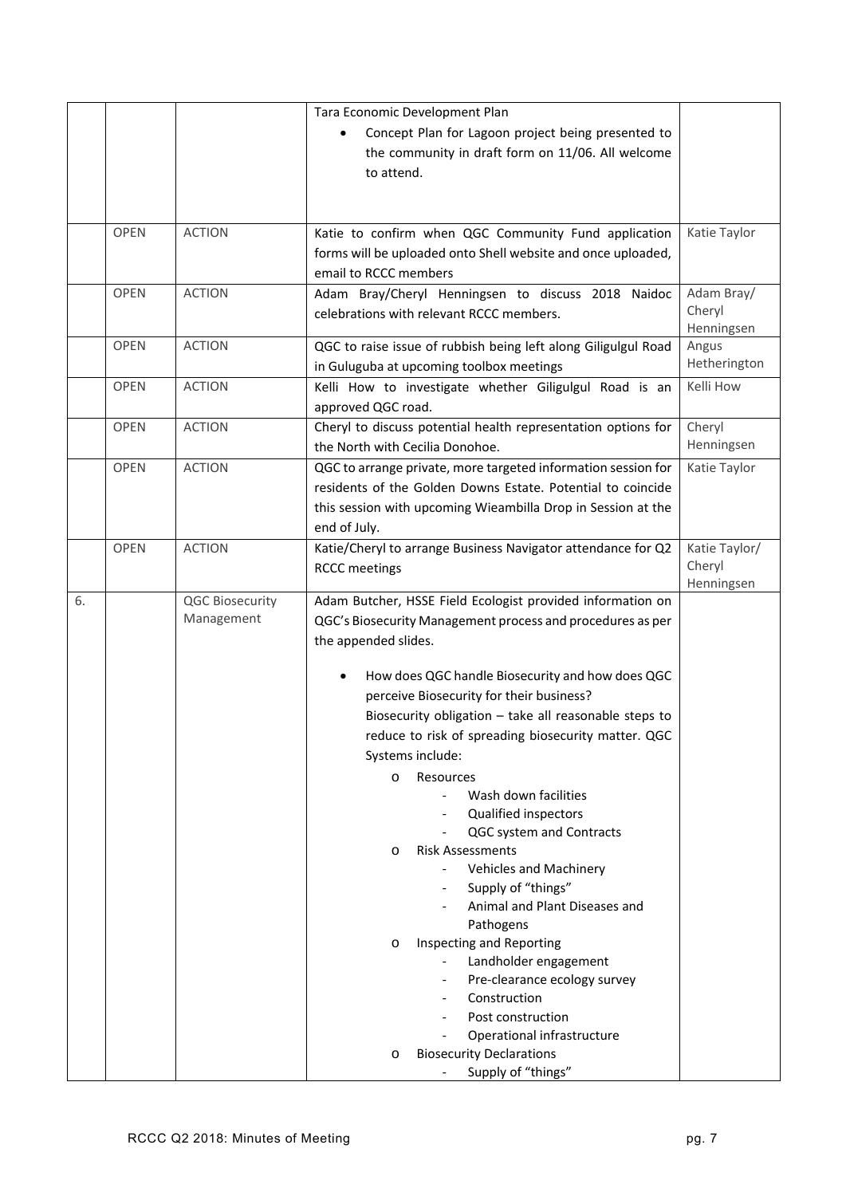|    |             |                        | Tara Economic Development Plan                                 |               |
|----|-------------|------------------------|----------------------------------------------------------------|---------------|
|    |             |                        | Concept Plan for Lagoon project being presented to             |               |
|    |             |                        | the community in draft form on 11/06. All welcome              |               |
|    |             |                        | to attend.                                                     |               |
|    |             |                        |                                                                |               |
|    |             |                        |                                                                |               |
|    | <b>OPEN</b> | <b>ACTION</b>          | Katie to confirm when QGC Community Fund application           | Katie Taylor  |
|    |             |                        | forms will be uploaded onto Shell website and once uploaded,   |               |
|    |             |                        | email to RCCC members                                          |               |
|    | <b>OPEN</b> | <b>ACTION</b>          | Adam Bray/Cheryl Henningsen to discuss 2018 Naidoc             | Adam Bray/    |
|    |             |                        | celebrations with relevant RCCC members.                       | Cheryl        |
|    |             |                        |                                                                | Henningsen    |
|    | <b>OPEN</b> | <b>ACTION</b>          | QGC to raise issue of rubbish being left along Giligulgul Road | Angus         |
|    |             |                        | in Guluguba at upcoming toolbox meetings                       | Hetherington  |
|    | <b>OPEN</b> | <b>ACTION</b>          | Kelli How to investigate whether Giligulgul Road is an         | Kelli How     |
|    |             |                        | approved QGC road.                                             |               |
|    | <b>OPEN</b> | <b>ACTION</b>          | Cheryl to discuss potential health representation options for  | Cheryl        |
|    |             |                        | the North with Cecilia Donohoe.                                | Henningsen    |
|    | OPEN        | <b>ACTION</b>          | QGC to arrange private, more targeted information session for  | Katie Taylor  |
|    |             |                        | residents of the Golden Downs Estate. Potential to coincide    |               |
|    |             |                        | this session with upcoming Wieambilla Drop in Session at the   |               |
|    |             |                        | end of July.                                                   |               |
|    | <b>OPEN</b> | <b>ACTION</b>          | Katie/Cheryl to arrange Business Navigator attendance for Q2   | Katie Taylor/ |
|    |             |                        | <b>RCCC</b> meetings                                           | Cheryl        |
|    |             |                        |                                                                | Henningsen    |
| 6. |             | <b>QGC Biosecurity</b> | Adam Butcher, HSSE Field Ecologist provided information on     |               |
|    |             | Management             | QGC's Biosecurity Management process and procedures as per     |               |
|    |             |                        | the appended slides.                                           |               |
|    |             |                        |                                                                |               |
|    |             |                        | How does QGC handle Biosecurity and how does QGC               |               |
|    |             |                        | perceive Biosecurity for their business?                       |               |
|    |             |                        | Biosecurity obligation - take all reasonable steps to          |               |
|    |             |                        | reduce to risk of spreading biosecurity matter. QGC            |               |
|    |             |                        | Systems include:                                               |               |
|    |             |                        | Resources<br>O                                                 |               |
|    |             |                        | Wash down facilities<br>$\blacksquare$                         |               |
|    |             |                        | <b>Qualified inspectors</b>                                    |               |
|    |             |                        | QGC system and Contracts                                       |               |
|    |             |                        | <b>Risk Assessments</b><br>O                                   |               |
|    |             |                        | Vehicles and Machinery<br>Supply of "things"                   |               |
|    |             |                        | Animal and Plant Diseases and                                  |               |
|    |             |                        | Pathogens                                                      |               |
|    |             |                        | Inspecting and Reporting<br>O                                  |               |
|    |             |                        | Landholder engagement                                          |               |
|    |             |                        | Pre-clearance ecology survey                                   |               |
|    |             |                        | Construction                                                   |               |
|    |             |                        | Post construction                                              |               |
|    |             |                        | Operational infrastructure                                     |               |
|    |             |                        | <b>Biosecurity Declarations</b><br>$\circ$                     |               |
|    |             |                        | Supply of "things"                                             |               |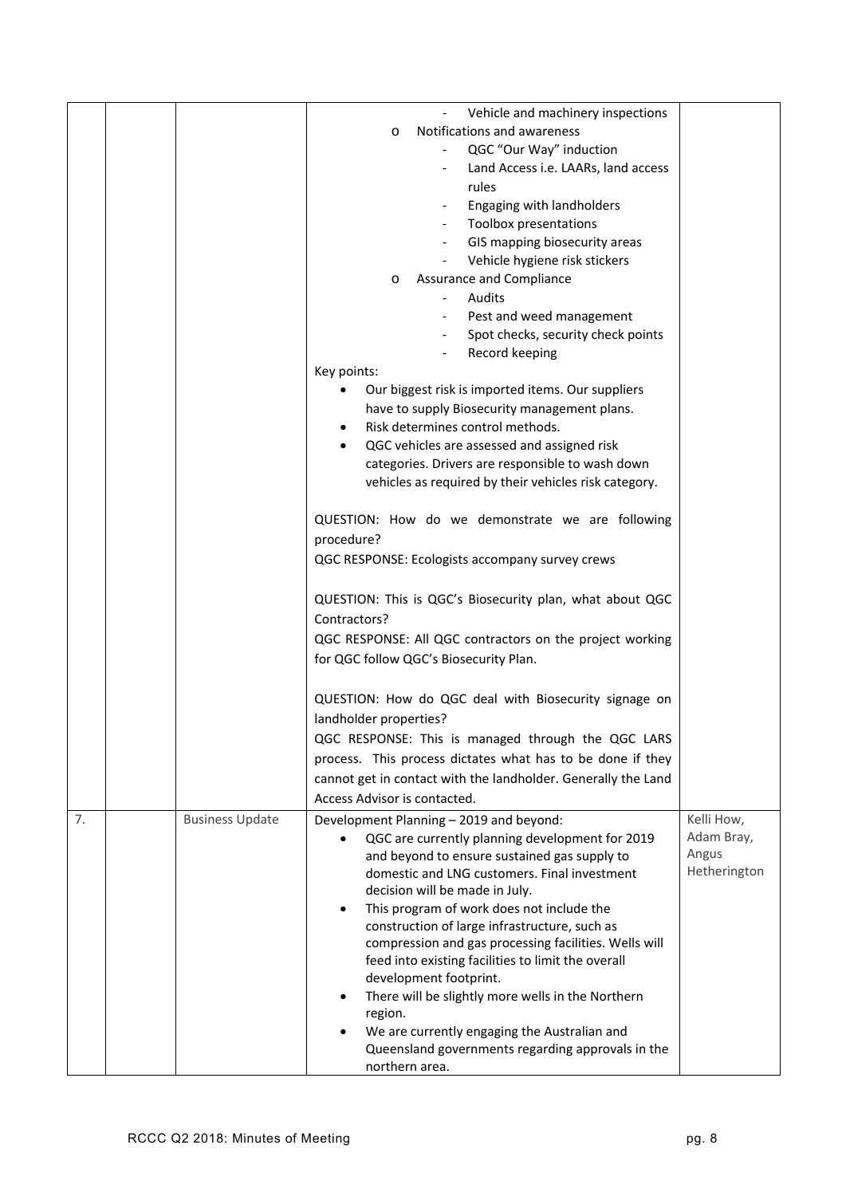|    |                        | Vehicle and machinery inspections                              |              |
|----|------------------------|----------------------------------------------------------------|--------------|
|    |                        | Notifications and awareness<br>$\circ$                         |              |
|    |                        | QGC "Our Way" induction                                        |              |
|    |                        | Land Access i.e. LAARs, land access                            |              |
|    |                        | rules                                                          |              |
|    |                        | Engaging with landholders                                      |              |
|    |                        | Toolbox presentations                                          |              |
|    |                        | GIS mapping biosecurity areas                                  |              |
|    |                        | Vehicle hygiene risk stickers                                  |              |
|    |                        | Assurance and Compliance<br>O                                  |              |
|    |                        | Audits                                                         |              |
|    |                        | Pest and weed management                                       |              |
|    |                        | Spot checks, security check points                             |              |
|    |                        | Record keeping                                                 |              |
|    |                        | Key points:                                                    |              |
|    |                        | Our biggest risk is imported items. Our suppliers              |              |
|    |                        | have to supply Biosecurity management plans.                   |              |
|    |                        | Risk determines control methods.<br>$\bullet$                  |              |
|    |                        | QGC vehicles are assessed and assigned risk                    |              |
|    |                        | categories. Drivers are responsible to wash down               |              |
|    |                        | vehicles as required by their vehicles risk category.          |              |
|    |                        |                                                                |              |
|    |                        | QUESTION: How do we demonstrate we are following               |              |
|    |                        | procedure?                                                     |              |
|    |                        | QGC RESPONSE: Ecologists accompany survey crews                |              |
|    |                        |                                                                |              |
|    |                        | QUESTION: This is QGC's Biosecurity plan, what about QGC       |              |
|    |                        | Contractors?                                                   |              |
|    |                        | QGC RESPONSE: All QGC contractors on the project working       |              |
|    |                        | for QGC follow QGC's Biosecurity Plan.                         |              |
|    |                        |                                                                |              |
|    |                        | QUESTION: How do QGC deal with Biosecurity signage on          |              |
|    |                        | landholder properties?                                         |              |
|    |                        | QGC RESPONSE: This is managed through the QGC LARS             |              |
|    |                        | process. This process dictates what has to be done if they     |              |
|    |                        | cannot get in contact with the landholder. Generally the Land  |              |
|    |                        | Access Advisor is contacted.                                   |              |
| 7. | <b>Business Update</b> | Development Planning - 2019 and beyond:                        | Kelli How,   |
|    |                        | QGC are currently planning development for 2019                | Adam Bray,   |
|    |                        | and beyond to ensure sustained gas supply to                   | Angus        |
|    |                        | domestic and LNG customers. Final investment                   | Hetherington |
|    |                        | decision will be made in July.                                 |              |
|    |                        | This program of work does not include the<br>$\bullet$         |              |
|    |                        | construction of large infrastructure, such as                  |              |
|    |                        | compression and gas processing facilities. Wells will          |              |
|    |                        | feed into existing facilities to limit the overall             |              |
|    |                        | development footprint.                                         |              |
|    |                        | There will be slightly more wells in the Northern<br>$\bullet$ |              |
|    |                        | region.<br>We are currently engaging the Australian and        |              |
|    |                        | Queensland governments regarding approvals in the              |              |
|    |                        | northern area.                                                 |              |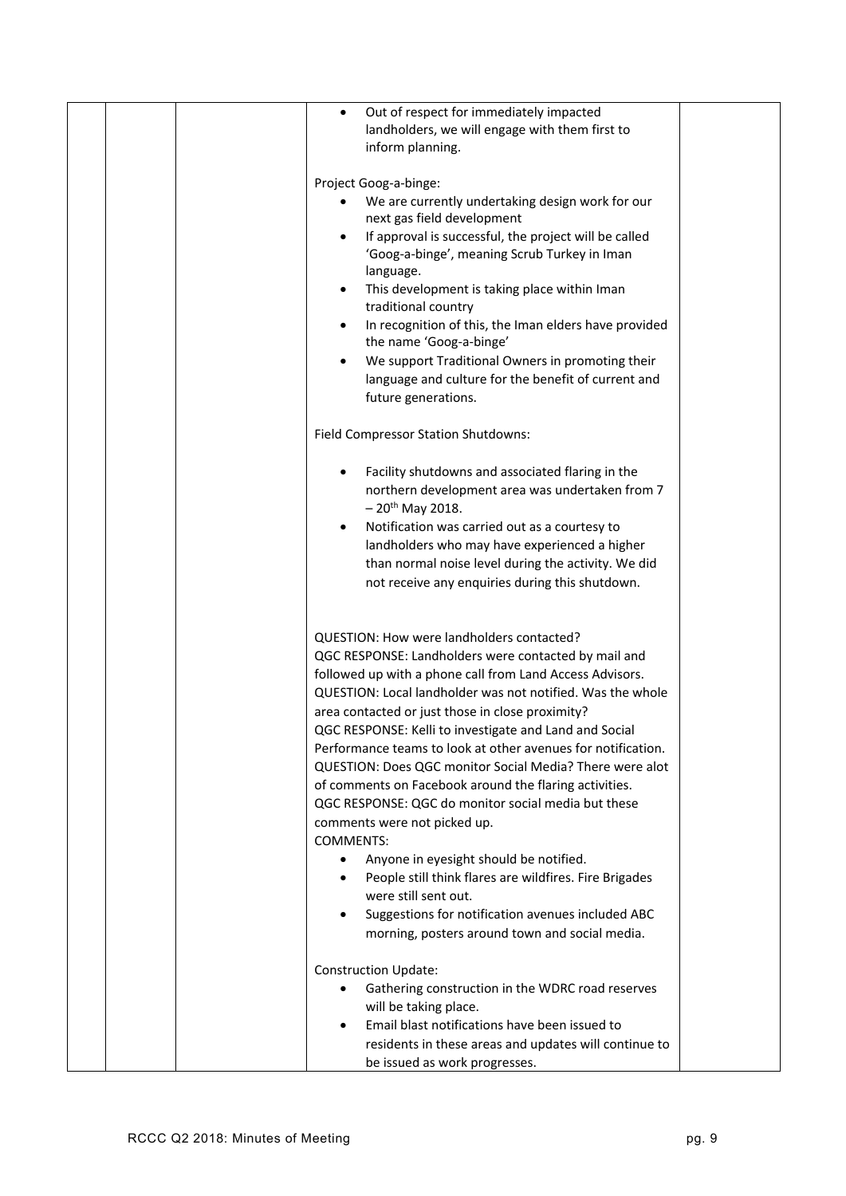|  | Out of respect for immediately impacted<br>$\bullet$         |  |
|--|--------------------------------------------------------------|--|
|  | landholders, we will engage with them first to               |  |
|  | inform planning.                                             |  |
|  |                                                              |  |
|  | Project Goog-a-binge:                                        |  |
|  | We are currently undertaking design work for our             |  |
|  | next gas field development                                   |  |
|  | If approval is successful, the project will be called        |  |
|  | 'Goog-a-binge', meaning Scrub Turkey in Iman                 |  |
|  | language.                                                    |  |
|  | This development is taking place within Iman                 |  |
|  | traditional country                                          |  |
|  | In recognition of this, the Iman elders have provided        |  |
|  | the name 'Goog-a-binge'                                      |  |
|  | We support Traditional Owners in promoting their             |  |
|  |                                                              |  |
|  | language and culture for the benefit of current and          |  |
|  | future generations.                                          |  |
|  |                                                              |  |
|  | Field Compressor Station Shutdowns:                          |  |
|  |                                                              |  |
|  | Facility shutdowns and associated flaring in the             |  |
|  | northern development area was undertaken from 7              |  |
|  | $-20^{th}$ May 2018.                                         |  |
|  | Notification was carried out as a courtesy to                |  |
|  | landholders who may have experienced a higher                |  |
|  | than normal noise level during the activity. We did          |  |
|  | not receive any enquiries during this shutdown.              |  |
|  |                                                              |  |
|  |                                                              |  |
|  | QUESTION: How were landholders contacted?                    |  |
|  |                                                              |  |
|  | QGC RESPONSE: Landholders were contacted by mail and         |  |
|  | followed up with a phone call from Land Access Advisors.     |  |
|  | QUESTION: Local landholder was not notified. Was the whole   |  |
|  | area contacted or just those in close proximity?             |  |
|  | QGC RESPONSE: Kelli to investigate and Land and Social       |  |
|  | Performance teams to look at other avenues for notification. |  |
|  | QUESTION: Does QGC monitor Social Media? There were alot     |  |
|  | of comments on Facebook around the flaring activities.       |  |
|  | QGC RESPONSE: QGC do monitor social media but these          |  |
|  | comments were not picked up.                                 |  |
|  | <b>COMMENTS:</b>                                             |  |
|  | Anyone in eyesight should be notified.                       |  |
|  | People still think flares are wildfires. Fire Brigades       |  |
|  | were still sent out.                                         |  |
|  |                                                              |  |
|  | Suggestions for notification avenues included ABC            |  |
|  | morning, posters around town and social media.               |  |
|  | <b>Construction Update:</b>                                  |  |
|  | Gathering construction in the WDRC road reserves             |  |
|  | will be taking place.                                        |  |
|  | Email blast notifications have been issued to                |  |
|  |                                                              |  |
|  | residents in these areas and updates will continue to        |  |
|  | be issued as work progresses.                                |  |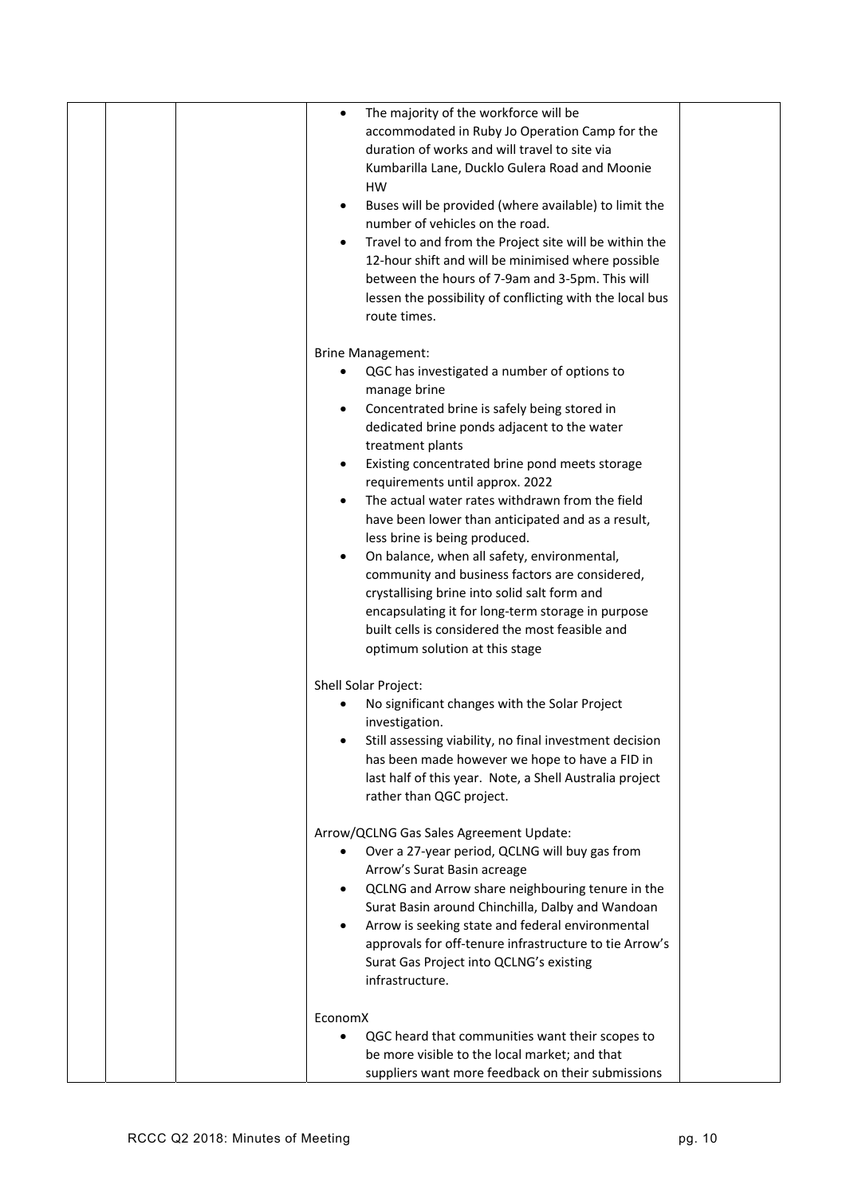| The majority of the workforce will be<br>٠                 |
|------------------------------------------------------------|
| accommodated in Ruby Jo Operation Camp for the             |
| duration of works and will travel to site via              |
| Kumbarilla Lane, Ducklo Gulera Road and Moonie             |
| HW                                                         |
| Buses will be provided (where available) to limit the<br>٠ |
| number of vehicles on the road.                            |
| Travel to and from the Project site will be within the     |
| 12-hour shift and will be minimised where possible         |
| between the hours of 7-9am and 3-5pm. This will            |
| lessen the possibility of conflicting with the local bus   |
| route times.                                               |
|                                                            |
| <b>Brine Management:</b>                                   |
| QGC has investigated a number of options to                |
|                                                            |
| manage brine                                               |
| Concentrated brine is safely being stored in               |
| dedicated brine ponds adjacent to the water                |
| treatment plants                                           |
| Existing concentrated brine pond meets storage             |
| requirements until approx. 2022                            |
| The actual water rates withdrawn from the field            |
| have been lower than anticipated and as a result,          |
| less brine is being produced.                              |
| On balance, when all safety, environmental,                |
| community and business factors are considered,             |
| crystallising brine into solid salt form and               |
| encapsulating it for long-term storage in purpose          |
| built cells is considered the most feasible and            |
| optimum solution at this stage                             |
|                                                            |
| Shell Solar Project:                                       |
| No significant changes with the Solar Project              |
| investigation.                                             |
| Still assessing viability, no final investment decision    |
| has been made however we hope to have a FID in             |
| last half of this year. Note, a Shell Australia project    |
| rather than QGC project.                                   |
|                                                            |
| Arrow/QCLNG Gas Sales Agreement Update:                    |
| Over a 27-year period, QCLNG will buy gas from             |
| Arrow's Surat Basin acreage                                |
| QCLNG and Arrow share neighbouring tenure in the           |
| Surat Basin around Chinchilla, Dalby and Wandoan           |
| Arrow is seeking state and federal environmental           |
| approvals for off-tenure infrastructure to tie Arrow's     |
| Surat Gas Project into QCLNG's existing                    |
| infrastructure.                                            |
| EconomX                                                    |
| QGC heard that communities want their scopes to            |
| be more visible to the local market; and that              |
| suppliers want more feedback on their submissions          |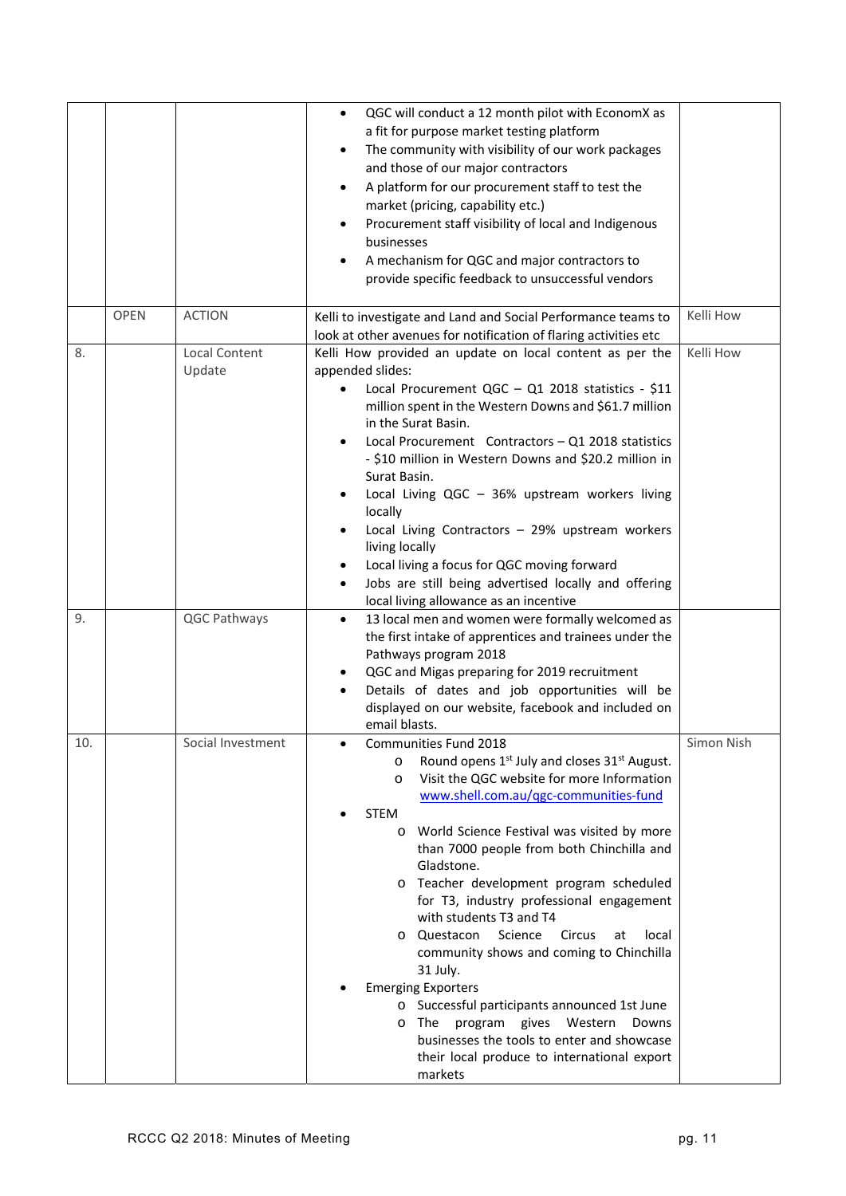|     |             |                      | QGC will conduct a 12 month pilot with EconomX as<br>$\bullet$            |            |
|-----|-------------|----------------------|---------------------------------------------------------------------------|------------|
|     |             |                      | a fit for purpose market testing platform                                 |            |
|     |             |                      | The community with visibility of our work packages<br>٠                   |            |
|     |             |                      | and those of our major contractors                                        |            |
|     |             |                      | A platform for our procurement staff to test the<br>٠                     |            |
|     |             |                      | market (pricing, capability etc.)                                         |            |
|     |             |                      | Procurement staff visibility of local and Indigenous<br>$\bullet$         |            |
|     |             |                      | businesses                                                                |            |
|     |             |                      | A mechanism for QGC and major contractors to                              |            |
|     |             |                      | provide specific feedback to unsuccessful vendors                         |            |
|     |             |                      |                                                                           |            |
|     | <b>OPEN</b> | <b>ACTION</b>        | Kelli to investigate and Land and Social Performance teams to             | Kelli How  |
|     |             |                      | look at other avenues for notification of flaring activities etc          |            |
| 8.  |             | <b>Local Content</b> | Kelli How provided an update on local content as per the                  | Kelli How  |
|     |             | Update               | appended slides:                                                          |            |
|     |             |                      | Local Procurement QGC - Q1 2018 statistics - \$11<br>$\bullet$            |            |
|     |             |                      | million spent in the Western Downs and \$61.7 million                     |            |
|     |             |                      | in the Surat Basin.                                                       |            |
|     |             |                      | Local Procurement Contractors - Q1 2018 statistics                        |            |
|     |             |                      | - \$10 million in Western Downs and \$20.2 million in                     |            |
|     |             |                      | Surat Basin.                                                              |            |
|     |             |                      | Local Living QGC - 36% upstream workers living                            |            |
|     |             |                      | locally                                                                   |            |
|     |             |                      | Local Living Contractors - 29% upstream workers<br>٠                      |            |
|     |             |                      | living locally                                                            |            |
|     |             |                      | Local living a focus for QGC moving forward<br>$\bullet$                  |            |
|     |             |                      | Jobs are still being advertised locally and offering<br>$\bullet$         |            |
|     |             |                      | local living allowance as an incentive                                    |            |
| 9.  |             | QGC Pathways         | 13 local men and women were formally welcomed as<br>$\bullet$             |            |
|     |             |                      | the first intake of apprentices and trainees under the                    |            |
|     |             |                      | Pathways program 2018                                                     |            |
|     |             |                      | QGC and Migas preparing for 2019 recruitment<br>٠                         |            |
|     |             |                      | Details of dates and job opportunities will be                            |            |
|     |             |                      | displayed on our website, facebook and included on                        |            |
|     |             |                      | email blasts.                                                             |            |
| 10. |             | Social Investment    | Communities Fund 2018                                                     | Simon Nish |
|     |             |                      | Round opens 1 <sup>st</sup> July and closes 31 <sup>st</sup> August.<br>O |            |
|     |             |                      | Visit the QGC website for more Information<br>$\circ$                     |            |
|     |             |                      | www.shell.com.au/ggc-communities-fund                                     |            |
|     |             |                      | <b>STEM</b>                                                               |            |
|     |             |                      | World Science Festival was visited by more<br>$\circ$                     |            |
|     |             |                      | than 7000 people from both Chinchilla and                                 |            |
|     |             |                      | Gladstone.                                                                |            |
|     |             |                      | Teacher development program scheduled<br>$\circ$                          |            |
|     |             |                      | for T3, industry professional engagement                                  |            |
|     |             |                      | with students T3 and T4                                                   |            |
|     |             |                      | Science<br>Questacon<br>Circus<br>at<br>local<br>O                        |            |
|     |             |                      | community shows and coming to Chinchilla                                  |            |
|     |             |                      | 31 July.                                                                  |            |
|     |             |                      | <b>Emerging Exporters</b>                                                 |            |
|     |             |                      | o Successful participants announced 1st June                              |            |
|     |             |                      | program gives Western<br>The<br>Downs<br>$\circ$                          |            |
|     |             |                      | businesses the tools to enter and showcase                                |            |
|     |             |                      | their local produce to international export                               |            |
|     |             |                      | markets                                                                   |            |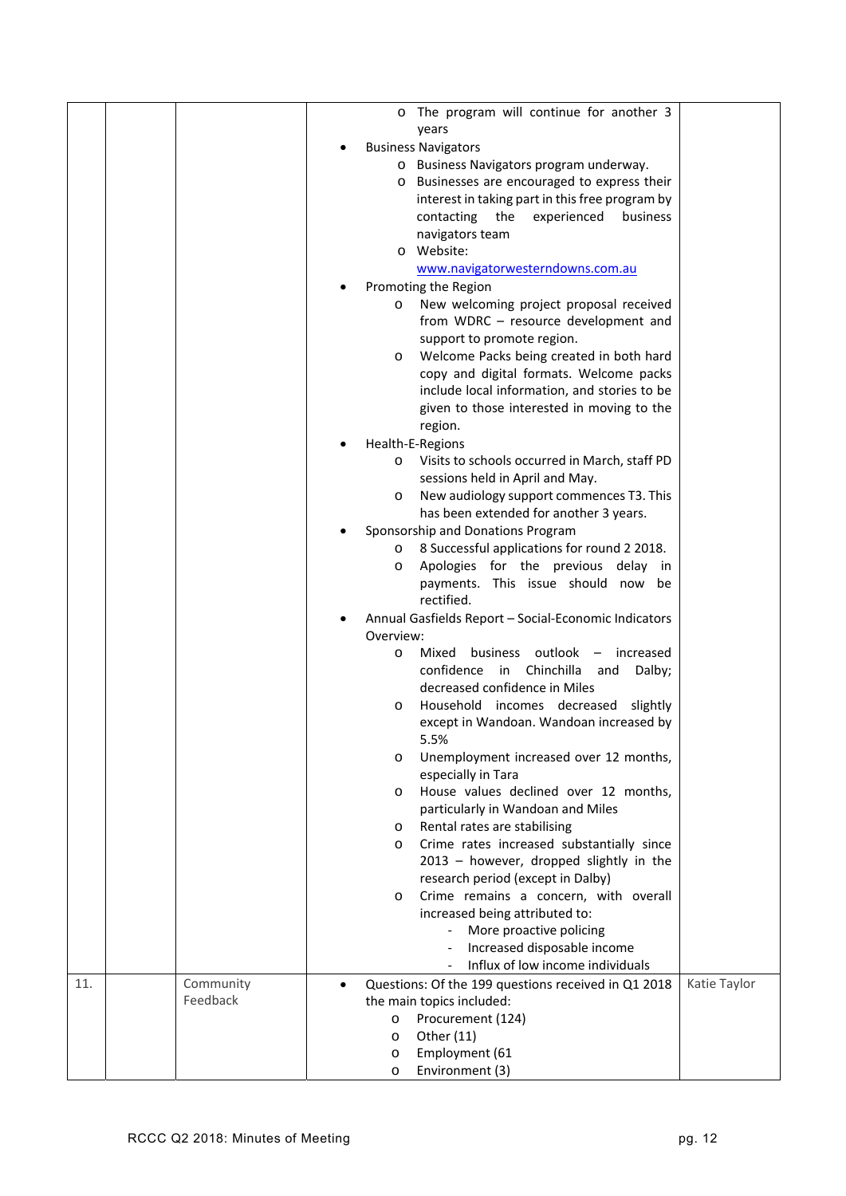|     |           |           | o The program will continue for another 3                          |              |
|-----|-----------|-----------|--------------------------------------------------------------------|--------------|
|     |           |           | years                                                              |              |
|     |           |           | <b>Business Navigators</b>                                         |              |
|     |           |           | o Business Navigators program underway.                            |              |
|     |           |           | o Businesses are encouraged to express their                       |              |
|     |           |           | interest in taking part in this free program by                    |              |
|     |           |           | contacting<br>the<br>experienced<br>business                       |              |
|     |           |           | navigators team                                                    |              |
|     |           |           | o Website:                                                         |              |
|     |           |           | www.navigatorwesterndowns.com.au                                   |              |
|     |           |           | Promoting the Region                                               |              |
|     |           | $\circ$   | New welcoming project proposal received                            |              |
|     |           |           | from WDRC - resource development and                               |              |
|     |           |           | support to promote region.                                         |              |
|     |           | $\circ$   | Welcome Packs being created in both hard                           |              |
|     |           |           | copy and digital formats. Welcome packs                            |              |
|     |           |           | include local information, and stories to be                       |              |
|     |           |           | given to those interested in moving to the                         |              |
|     |           |           | region.                                                            |              |
|     |           |           | Health-E-Regions                                                   |              |
|     |           | O         | Visits to schools occurred in March, staff PD                      |              |
|     |           |           | sessions held in April and May.                                    |              |
|     |           | O         | New audiology support commences T3. This                           |              |
|     |           |           | has been extended for another 3 years.                             |              |
|     |           |           | Sponsorship and Donations Program                                  |              |
|     |           |           | o 8 Successful applications for round 2 2018.                      |              |
|     |           | O         | Apologies for the previous delay in                                |              |
|     |           |           | payments. This issue should now be<br>rectified.                   |              |
|     |           |           |                                                                    |              |
|     |           | Overview: | Annual Gasfields Report - Social-Economic Indicators               |              |
|     |           | $\circ$   | business outlook<br>Mixed<br>increased<br>$\overline{\phantom{m}}$ |              |
|     |           |           | in Chinchilla<br>Dalby;<br>confidence<br>and                       |              |
|     |           |           | decreased confidence in Miles                                      |              |
|     |           | $\circ$   | Household incomes decreased<br>slightly                            |              |
|     |           |           | except in Wandoan. Wandoan increased by                            |              |
|     |           |           | 5.5%                                                               |              |
|     |           | $\circ$   | Unemployment increased over 12 months,                             |              |
|     |           |           | especially in Tara                                                 |              |
|     |           | $\circ$   | House values declined over 12 months,                              |              |
|     |           |           | particularly in Wandoan and Miles                                  |              |
|     |           | O         | Rental rates are stabilising                                       |              |
|     |           | $\circ$   | Crime rates increased substantially since                          |              |
|     |           |           | 2013 - however, dropped slightly in the                            |              |
|     |           |           | research period (except in Dalby)                                  |              |
|     |           | $\circ$   | Crime remains a concern, with overall                              |              |
|     |           |           | increased being attributed to:                                     |              |
|     |           |           | More proactive policing                                            |              |
|     |           |           | Increased disposable income                                        |              |
|     |           |           | Influx of low income individuals                                   |              |
| 11. | Community |           | Questions: Of the 199 questions received in Q1 2018                | Katie Taylor |
|     | Feedback  |           | the main topics included:                                          |              |
|     |           | $\circ$   | Procurement (124)                                                  |              |
|     |           | $\circ$   | Other (11)                                                         |              |
|     |           | $\circ$   | Employment (61                                                     |              |
|     |           | $\circ$   | Environment (3)                                                    |              |